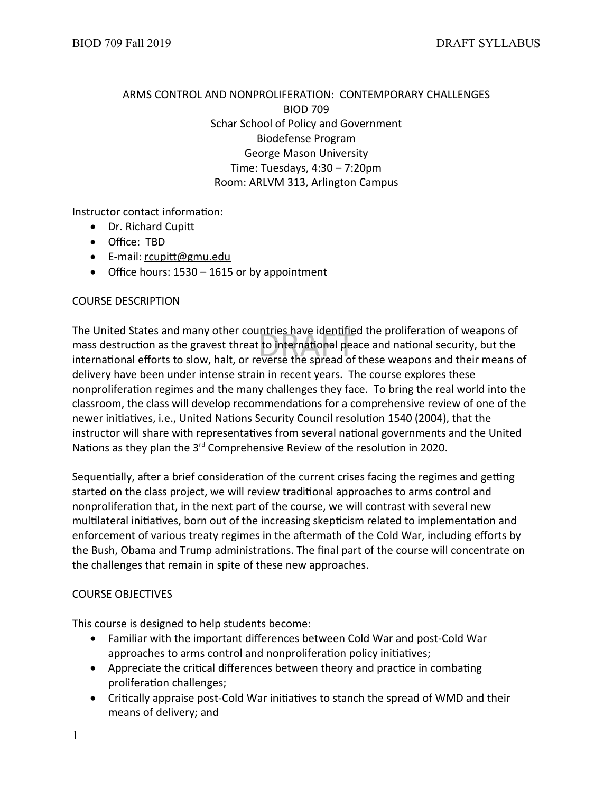# ARMS CONTROL AND NONPROLIFERATION: CONTEMPORARY CHALLENGES BIOD 709 Schar School of Policy and Government Biodefense Program George Mason University Time: Tuesdays, 4:30 – 7:20pm Room: ARLVM 313, Arlington Campus

Instructor contact information:

- Dr. Richard Cupitt
- Office: TBD
- E-mail: [rcupitt@gmu.edu](mailto:rcupitt@gmu.edu)
- Office hours: 1530 1615 or by appointment

#### COURSE DESCRIPTION

intries nave identine<br>: to international pea<br>everse the spread of The United States and many other countries have identified the proliferation of weapons of mass destruction as the gravest threat to international peace and national security, but the international efforts to slow, halt, or reverse the spread of these weapons and their means of delivery have been under intense strain in recent years. The course explores these nonproliferation regimes and the many challenges they face. To bring the real world into the classroom, the class will develop recommendations for a comprehensive review of one of the newer initiatives, i.e., United Nations Security Council resolution 1540 (2004), that the instructor will share with representatives from several national governments and the United Nations as they plan the 3<sup>rd</sup> Comprehensive Review of the resolution in 2020.

Sequentially, after a brief consideration of the current crises facing the regimes and getting started on the class project, we will review traditional approaches to arms control and nonproliferation that, in the next part of the course, we will contrast with several new multilateral initiatives, born out of the increasing skepticism related to implementation and enforcement of various treaty regimes in the aftermath of the Cold War, including efforts by the Bush, Obama and Trump administrations. The final part of the course will concentrate on the challenges that remain in spite of these new approaches.

# COURSE OBJECTIVES

This course is designed to help students become:

- Familiar with the important differences between Cold War and post-Cold War approaches to arms control and nonproliferation policy initiatives;
- Appreciate the critical differences between theory and practice in combating proliferation challenges;
- Critically appraise post-Cold War initiatives to stanch the spread of WMD and their means of delivery; and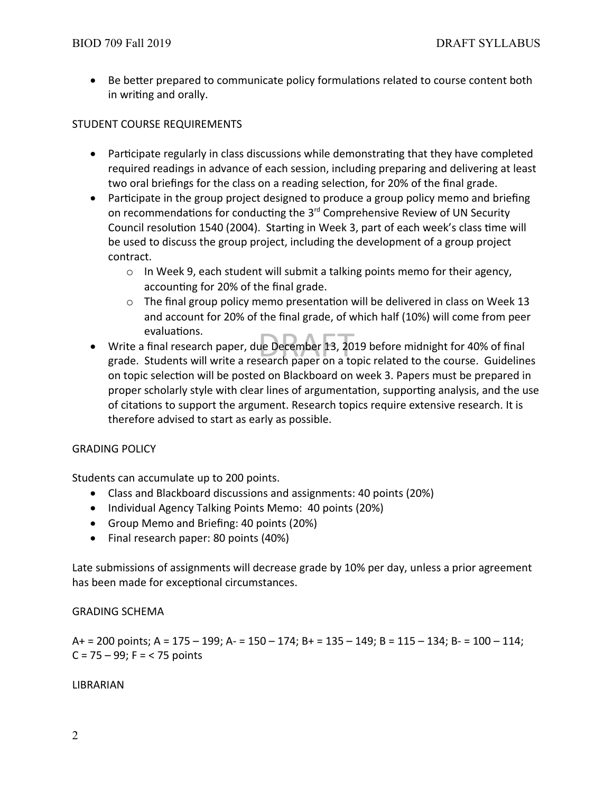Be better prepared to communicate policy formulations related to course content both in writing and orally.

# STUDENT COURSE REQUIREMENTS

- Participate regularly in class discussions while demonstrating that they have completed required readings in advance of each session, including preparing and delivering at least two oral briefings for the class on a reading selection, for 20% of the final grade.
- Participate in the group project designed to produce a group policy memo and briefing on recommendations for conducting the 3<sup>rd</sup> Comprehensive Review of UN Security Council resolution 1540 (2004). Starting in Week 3, part of each week's class time will be used to discuss the group project, including the development of a group project contract.
	- $\circ$  In Week 9, each student will submit a talking points memo for their agency, accounting for 20% of the final grade.
	- $\circ$  The final group policy memo presentation will be delivered in class on Week 13 and account for 20% of the final grade, of which half (10%) will come from peer evaluations.
- ue December 13, 20<br>search paper on a to Write a final research paper, due December 13, 2019 before midnight for 40% of final grade. Students will write a research paper on a topic related to the course. Guidelines on topic selection will be posted on Blackboard on week 3. Papers must be prepared in proper scholarly style with clear lines of argumentation, supporting analysis, and the use of citations to support the argument. Research topics require extensive research. It is therefore advised to start as early as possible.

# GRADING POLICY

Students can accumulate up to 200 points.

- Class and Blackboard discussions and assignments: 40 points (20%)
- Individual Agency Talking Points Memo: 40 points (20%)
- Group Memo and Briefing: 40 points (20%)
- Final research paper: 80 points (40%)

Late submissions of assignments will decrease grade by 10% per day, unless a prior agreement has been made for exceptional circumstances.

# GRADING SCHEMA

A+ = 200 points; A = 175 – 199; A- = 150 – 174; B+ = 135 – 149; B = 115 – 134; B- = 100 – 114;  $C = 75 - 99$ ; F = < 75 points

# LIBRARIAN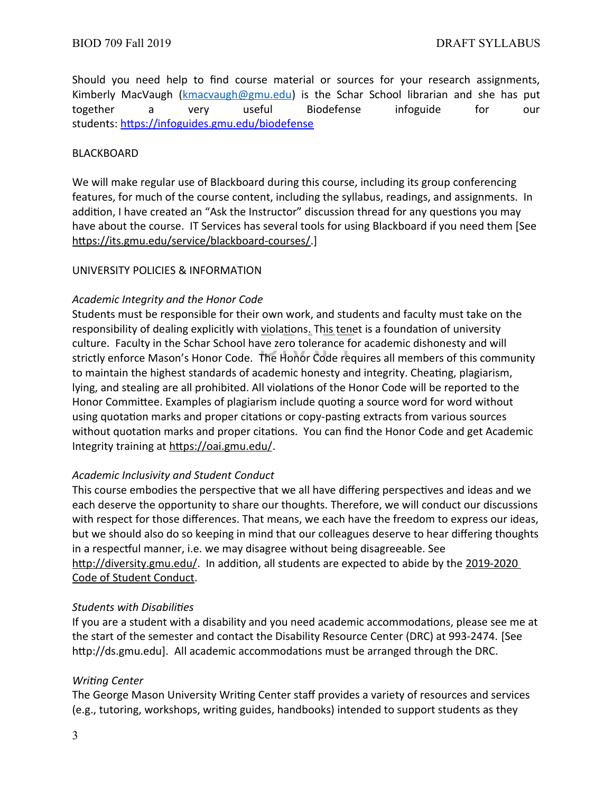Should you need help to find course material or sources for your research assignments, Kimberly MacVaugh [\(kmacvaugh@gmu.edu\)](mailto:kmacvaugh@gmu.edu) is the Schar School librarian and she has put together a very useful Biodefense infoguide for our students: https://infoguides.gmu.edu/biodefense

#### BLACKBOARD

We will make regular use of Blackboard during this course, including its group conferencing features, for much of the course content, including the syllabus, readings, and assignments. In addition, I have created an "Ask the Instructor" discussion thread for any questions you may have about the course. IT Services has several tools for using Blackboard if you need them [See <https://its.gmu.edu/service/blackboard-courses/>.]

#### UNIVERSITY POLICIES & INFORMATION

# *Academic Integrity and the Honor Code*

responsionity or dealing explicitly with <u>violations. This ten</u>et is a foundation or university<br>culture. Faculty in the Schar School have zero tolerance for academic dishonesty and will<br>strictly enforce Mason's Honor Code. Students must be responsible for their own work, and students and faculty must take on the responsibility of dealing explicitly with violations. This tenet is a foundation of university culture. Faculty in the Schar School have zero tolerance for academic dishonesty and will to maintain the highest standards of academic honesty and integrity. Cheating, plagiarism, lying, and stealing are all prohibited. All violations of the Honor Code will be reported to the Honor Committee. Examples of plagiarism include quoting a source word for word without using quotation marks and proper citations or copy-pasting extracts from various sources without quotation marks and proper citations. You can find the Honor Code and get Academic Integrity training at <https://oai.gmu.edu/>.

# *Academic Inclusivity and Student Conduct*

This course embodies the perspective that we all have differing perspectives and ideas and we each deserve the opportunity to share our thoughts. Therefore, we will conduct our discussions with respect for those differences. That means, we each have the freedom to express our ideas, but we should also do so keeping in mind that our colleagues deserve to hear differing thoughts in a respectful manner, i.e. we may disagree without being disagreeable. See <http://diversity.gmu.edu/>. In addition, all students are expected to abide by the 2019-2020 [Code of Student Conduct](https://studentconduct.gmu.edu/wp-content/uploads/2019/08/2019-20-Code-of-Student-Conduct-1.pdf).

#### *Students with Disabilities*

If you are a student with a disability and you need academic accommodations, please see me at the start of the semester and contact the Disability Resource Center (DRC) at 993-2474. [See http://ds.gmu.edu]. All academic accommodations must be arranged through the DRC.

#### *Writing Center*

The George Mason University Writing Center staff provides a variety of resources and services (e.g., tutoring, workshops, writing guides, handbooks) intended to support students as they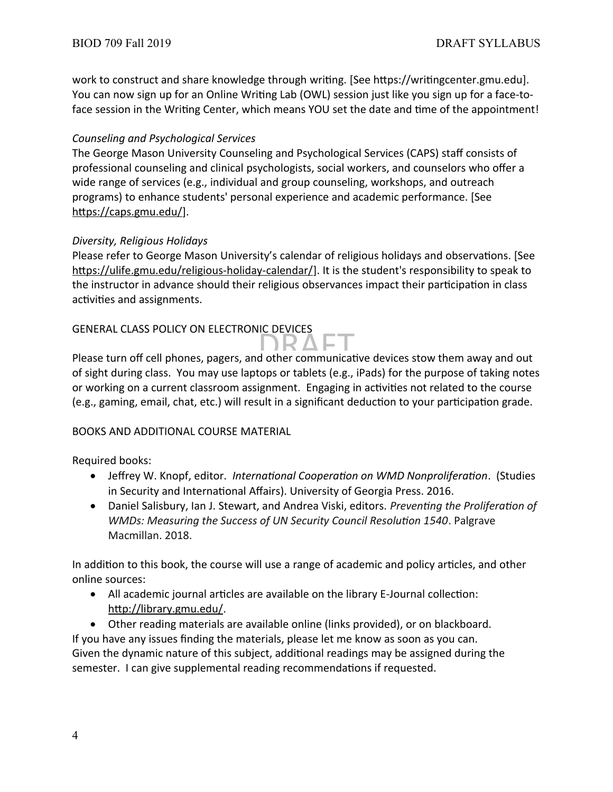work to construct and share knowledge through writing. [See https://writingcenter.gmu.edu]. You can now sign up for an Online Writing Lab (OWL) session just like you sign up for a face-toface session in the Writing Center, which means YOU set the date and time of the appointment!

# *Counseling and Psychological Services*

The George Mason University Counseling and Psychological Services (CAPS) staff consists of professional counseling and clinical psychologists, social workers, and counselors who offer a wide range of services (e.g., individual and group counseling, workshops, and outreach programs) to enhance students' personal experience and academic performance. [See <https://caps.gmu.edu/>].

# *Diversity, Religious Holidays*

Please refer to George Mason University's calendar of religious holidays and observations. [See https://ulife.gmu.edu/religious-holiday-calendar/]. It is the student's responsibility to speak to the instructor in advance should their religious observances impact their participation in class activities and assignments.

# GENERAL CLASS POLICY ON ELECTRONIC DEVICES

BENERAL CLASS POLICT ON ELECTRONIC DEVICES<br>Please turn off cell phones, pagers, and other communicative devices stow them away and out of sight during class. You may use laptops or tablets (e.g., iPads) for the purpose of taking notes or working on a current classroom assignment. Engaging in activities not related to the course (e.g., gaming, email, chat, etc.) will result in a significant deduction to your participation grade.

# BOOKS AND ADDITIONAL COURSE MATERIAL

Required books:

- Jeffrey W. Knopf, editor. *International Cooperation on WMD Nonproliferation*. (Studies in Security and International Affairs). University of Georgia Press. 2016.
- Daniel Salisbury, Ian J. Stewart, and Andrea Viski, editors. *Preventing the Proliferation of WMDs: Measuring the Success of UN Security Council Resolution 1540*. Palgrave Macmillan. 2018.

In addition to this book, the course will use a range of academic and policy articles, and other online sources:

 All academic journal articles are available on the library E-Journal collection: <http://library.gmu.edu/>.

 Other reading materials are available online (links provided), or on blackboard. If you have any issues finding the materials, please let me know as soon as you can. Given the dynamic nature of this subject, additional readings may be assigned during the semester. I can give supplemental reading recommendations if requested.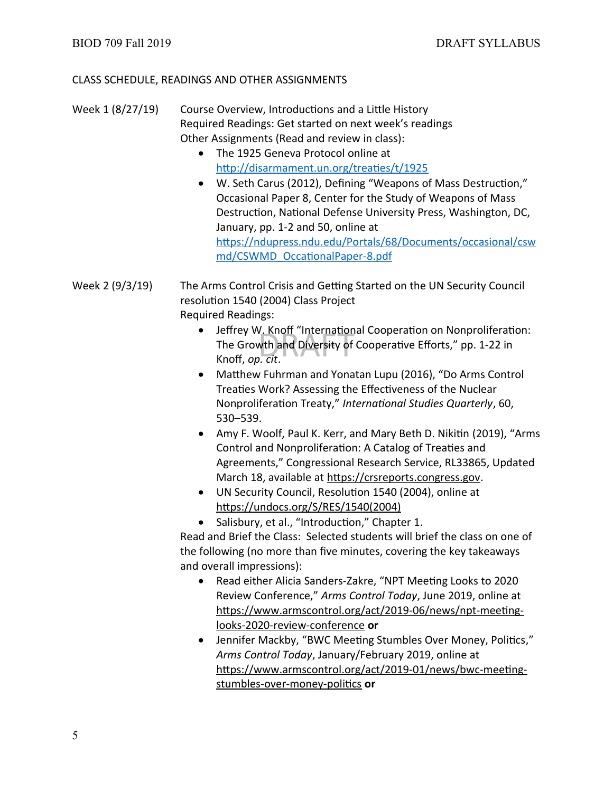# CLASS SCHEDULE, READINGS AND OTHER ASSIGNMENTS

- Week 1 (8/27/19) Course Overview, Introductions and a Little History Required Readings: Get started on next week's readings Other Assignments (Read and review in class):
	- The 1925 Geneva Protocol online at <http://disarmament.un.org/treaties/t/1925>
	- W. Seth Carus (2012), Defining "Weapons of Mass Destruction," Occasional Paper 8, Center for the Study of Weapons of Mass Destruction, National Defense University Press, Washington, DC, January, pp. 1-2 and 50, online at [https://ndupress.ndu.edu/Portals/68/Documents/occasional/csw](https://ndupress.ndu.edu/Portals/68/Documents/occasional/cswmd/CSWMD_OccationalPaper-8.pdf) [md/CSWMD\\_OccationalPaper-8.pdf](https://ndupress.ndu.edu/Portals/68/Documents/occasional/cswmd/CSWMD_OccationalPaper-8.pdf)
- Week 2 (9/3/19) The Arms Control Crisis and Getting Started on the UN Security Council resolution 1540 (2004) Class Project Required Readings:
	- v. κησπ Internation<br>wth and Diversity of<br>*n. cit.*  Jeffrey W. Knoff "International Cooperation on Nonproliferation: The Growth and Diversity of Cooperative Efforts," pp. 1-22 in Knoff, *op. cit*.
	- Matthew Fuhrman and Yonatan Lupu (2016), "Do Arms Control Treaties Work? Assessing the Effectiveness of the Nuclear Nonproliferation Treaty," *International Studies Quarterly*, 60, 530–539.
	- Amy F. Woolf, Paul K. Kerr, and Mary Beth D. Nikitin (2019), "Arms Control and Nonproliferation: A Catalog of Treaties and Agreements," Congressional Research Service, RL33865, Updated March 18, available at [https://crsreports.congress.gov](https://crsreports.congress.gov/).
	- UN Security Council, Resolution 1540 (2004), online at [https://undocs.org/S/RES/1540\(2004\)](https://undocs.org/S/RES/1540(2004))
	- Salisbury, et al., "Introduction," Chapter 1.

Read and Brief the Class: Selected students will brief the class on one of the following (no more than five minutes, covering the key takeaways and overall impressions):

- Read either Alicia Sanders-Zakre, "NPT Meeting Looks to 2020 Review Conference," *Arms Control Today*, June 2019, online at [https://www.armscontrol.org/act/2019-06/news/npt-meeting](https://www.armscontrol.org/act/2019-06/news/npt-meeting-looks-2020-review-conference)[looks-2020-review-conference](https://www.armscontrol.org/act/2019-06/news/npt-meeting-looks-2020-review-conference) **or**
- Jennifer Mackby, "BWC Meeting Stumbles Over Money, Politics," *Arms Control Today*, January/February 2019, online at [https://www.armscontrol.org/act/2019-01/news/bwc-meeting](https://www.armscontrol.org/act/2019-01/news/bwc-meeting-stumbles-over-money-politics)[stumbles-over-money-politics](https://www.armscontrol.org/act/2019-01/news/bwc-meeting-stumbles-over-money-politics) **or**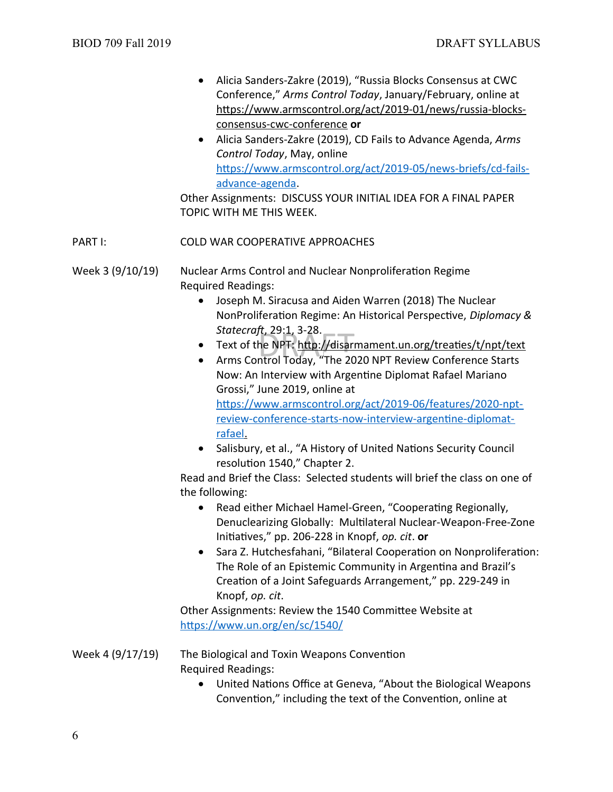- Alicia Sanders-Zakre (2019), "Russia Blocks Consensus at CWC Conference," *Arms Control Today*, January/February, online at [https://www.armscontrol.org/act/2019-01/news/russia-blocks](https://www.armscontrol.org/act/2019-01/news/russia-blocks-consensus-cwc-conference)[consensus-cwc-conference](https://www.armscontrol.org/act/2019-01/news/russia-blocks-consensus-cwc-conference) **or**
- Alicia Sanders-Zakre (2019), CD Fails to Advance Agenda, *Arms Control Today*, May, online [https://www.armscontrol.org/act/2019-05/news-briefs/cd-fails](https://www.armscontrol.org/act/2019-05/news-briefs/cd-fails-advance-agenda)[advance-agenda](https://www.armscontrol.org/act/2019-05/news-briefs/cd-fails-advance-agenda).

Other Assignments: DISCUSS YOUR INITIAL IDEA FOR A FINAL PAPER TOPIC WITH ME THIS WEEK.

# PART I: COLD WAR COOPERATIVE APPROACHES

Week 3 (9/10/19) Nuclear Arms Control and Nuclear Nonproliferation Regime Required Readings:

- Joseph M. Siracusa and Aiden Warren (2018) The Nuclear NonProliferation Regime: An Historical Perspective, *Diplomacy & Statecraft*, 29:1, 3-28.
- π, 29:1, 3-28.<br>he NPT: <u>http://disar</u><br>ntrol Todav, "The 20 Text of the NPT:<http://disarmament.un.org/treaties/t/npt/text>
- Arms Control Today, "The 2020 NPT Review Conference Starts Now: An Interview with Argentine Diplomat Rafael Mariano Grossi," June 2019, online at [https://www.armscontrol.org/act/2019-06/features/2020-npt-](https://www.armscontrol.org/act/2019-06/features/2020-npt-review-conference-starts-now-interview-argentine-diplomat-rafael)

[review-conference-starts-now-interview-argentine-diplomat](https://www.armscontrol.org/act/2019-06/features/2020-npt-review-conference-starts-now-interview-argentine-diplomat-rafael) rafael.

 Salisbury, et al., "A History of United Nations Security Council resolution 1540," Chapter 2.

Read and Brief the Class: Selected students will brief the class on one of the following:

- Read either Michael Hamel-Green, "Cooperating Regionally, Denuclearizing Globally: Multilateral Nuclear-Weapon-Free-Zone Initiatives," pp. 206-228 in Knopf, *op. cit*. **or**
- Sara Z. Hutchesfahani, "Bilateral Cooperation on Nonproliferation: The Role of an Epistemic Community in Argentina and Brazil's Creation of a Joint Safeguards Arrangement," pp. 229-249 in Knopf, *op. cit*.

Other Assignments: Review the 1540 Committee Website at <https://www.un.org/en/sc/1540/>

Week 4 (9/17/19) The Biological and Toxin Weapons Convention Required Readings:

> United Nations Office at Geneva, "About the Biological Weapons Convention," including the text of the Convention, online at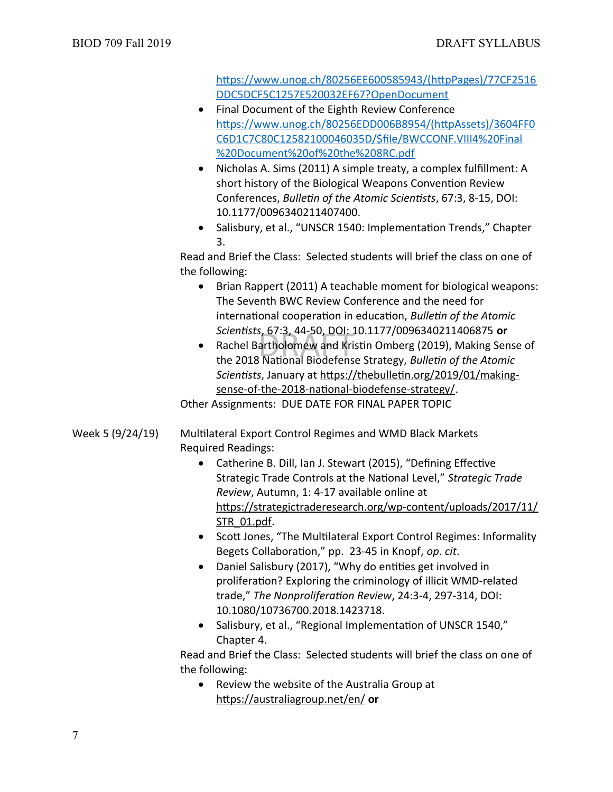[https://www.unog.ch/80256EE600585943/\(httpPages\)/77CF2516](https://www.unog.ch/80256EE600585943/(httpPages)/77CF2516DDC5DCF5C1257E520032EF67?OpenDocument) [DDC5DCF5C1257E520032EF67?OpenDocument](https://www.unog.ch/80256EE600585943/(httpPages)/77CF2516DDC5DCF5C1257E520032EF67?OpenDocument)

- Final Document of the Eighth Review Conference [https://www.unog.ch/80256EDD006B8954/\(httpAssets\)/3604FF0](https://www.unog.ch/80256EDD006B8954/(httpAssets)/3604FF0C6D1C7C80C12582100046035D/$file/BWCCONF.VIII4%20Final%20Document%20of%20the%208RC.pdf) [C6D1C7C80C12582100046035D/\\$file/BWCCONF.VIII4%20Final](https://www.unog.ch/80256EDD006B8954/(httpAssets)/3604FF0C6D1C7C80C12582100046035D/$file/BWCCONF.VIII4%20Final%20Document%20of%20the%208RC.pdf) [%20Document%20of%20the%208RC.pdf](https://www.unog.ch/80256EDD006B8954/(httpAssets)/3604FF0C6D1C7C80C12582100046035D/$file/BWCCONF.VIII4%20Final%20Document%20of%20the%208RC.pdf)
- Nicholas A. Sims (2011) A simple treaty, a complex fulfillment: A short history of the Biological Weapons Convention Review Conferences, *Bulletin of the Atomic Scientists*, 67:3, 8-15, DOI: 10.1177/0096340211407400.
- Salisbury, et al., "UNSCR 1540: Implementation Trends," Chapter 3.

Read and Brief the Class: Selected students will brief the class on one of the following:

- Brian Rappert (2011) A teachable moment for biological weapons: The Seventh BWC Review Conference and the need for international cooperation in education, *Bulletin of the Atomic Scientists*, 67:3, 44-50, DOI: 10.1177/0096340211406875 **or**
- Scientists, 67:3, 44-50, DOI: 10.1177/0096340211406875 **or**<br>Rachel Bartholomew and Kristin Omberg (2019), Making Sens<br>the 2018 National Biodefense Strategy, *Bulletin of the Atomic*  Rachel Bartholomew and Kristin Omberg (2019), Making Sense of *Scientists*, January at [https://thebulletin.org/2019/01/making](https://thebulletin.org/2019/01/making-sense-of-the-2018-national-biodefense-strategy/)[sense-of-the-2018-national-biodefense-strategy/.](https://thebulletin.org/2019/01/making-sense-of-the-2018-national-biodefense-strategy/)

Other Assignments: DUE DATE FOR FINAL PAPER TOPIC

# Week 5 (9/24/19) Multilateral Export Control Regimes and WMD Black Markets Required Readings:

- Catherine B. Dill, Ian J. Stewart (2015), "Defining Effective Strategic Trade Controls at the National Level," *Strategic Trade Review*, Autumn, 1: 4-17 available online at [https://strategictraderesearch.org/wp-content/uploads/2017/11/](https://strategictraderesearch.org/wp-content/uploads/2017/11/STR_01.pdf) [STR\\_01.pdf](https://strategictraderesearch.org/wp-content/uploads/2017/11/STR_01.pdf).
- Scott Jones, "The Multilateral Export Control Regimes: Informality Begets Collaboration," pp. 23-45 in Knopf, *op. cit*.
- Daniel Salisbury (2017), "Why do entities get involved in proliferation? Exploring the criminology of illicit WMD-related trade," *The Nonproliferation Review*, 24:3-4, 297-314, DOI: 10.1080/10736700.2018.1423718.
- Salisbury, et al., "Regional Implementation of UNSCR 1540," Chapter 4.

Read and Brief the Class: Selected students will brief the class on one of the following:

 Review the website of the Australia Group at <https://australiagroup.net/en/> **or**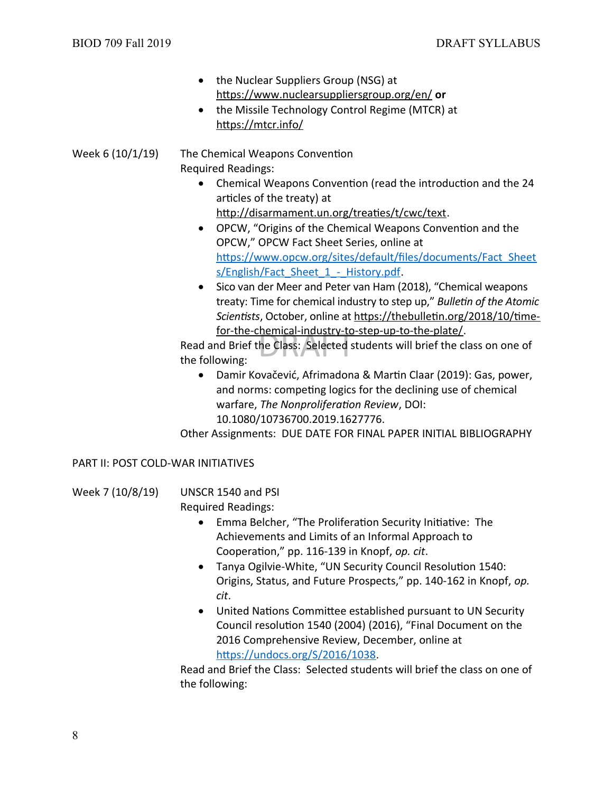- the Nuclear Suppliers Group (NSG) at <https://www.nuclearsuppliersgroup.org/en/> **or**
- the Missile Technology Control Regime (MTCR) at <https://mtcr.info/>

Week 6 (10/1/19) The Chemical Weapons Convention Required Readings:

> Chemical Weapons Convention (read the introduction and the 24 articles of the treaty) at

<http://disarmament.un.org/treaties/t/cwc/text>.

- OPCW, "Origins of the Chemical Weapons Convention and the OPCW," OPCW Fact Sheet Series, online at [https://www.opcw.org/sites/default/files/documents/Fact\\_Sheet](https://www.opcw.org/sites/default/files/documents/Fact_Sheets/English/Fact_Sheet_1_-_History.pdf) s/English/Fact Sheet 1 - History.pdf.
- Sico van der Meer and Peter van Ham (2018), "Chemical weapons treaty: Time for chemical industry to step up," *Bulletin of the Atomic Scientists*, October, online at [https://thebulletin.org/2018/10/time](https://thebulletin.org/2018/10/time-for-the-chemical-industry-to-step-up-to-the-plate/)[for-the-chemical-industry-to-step-up-to-the-plate/.](https://thebulletin.org/2018/10/time-for-the-chemical-industry-to-step-up-to-the-plate/)

<u>:hemical-industry-to</u><br>he Class: Selected s Read and Brief the Class: Selected students will brief the class on one of the following:

 Damir Kovačević, Afrimadona & Martin Claar (2019): Gas, power, and norms: competing logics for the declining use of chemical warfare, *The Nonproliferation Review*, DOI: 10.1080/10736700.2019.1627776.

Other Assignments: DUE DATE FOR FINAL PAPER INITIAL BIBLIOGRAPHY

# PART II: POST COLD-WAR INITIATIVES

| Week 7 (10/8/19) | UNSCR 1540 and PSI        |
|------------------|---------------------------|
|                  | <b>Required Readings:</b> |

- Emma Belcher, "The Proliferation Security Initiative: The Achievements and Limits of an Informal Approach to Cooperation," pp. 116-139 in Knopf, *op. cit*.
- Tanya Ogilvie-White, "UN Security Council Resolution 1540: Origins, Status, and Future Prospects," pp. 140-162 in Knopf, *op. cit*.
- United Nations Committee established pursuant to UN Security Council resolution 1540 (2004) (2016), "Final Document on the 2016 Comprehensive Review, December, online at [https://undocs.org/S/2016/1038.](https://undocs.org/S/2016/1038)

Read and Brief the Class: Selected students will brief the class on one of the following: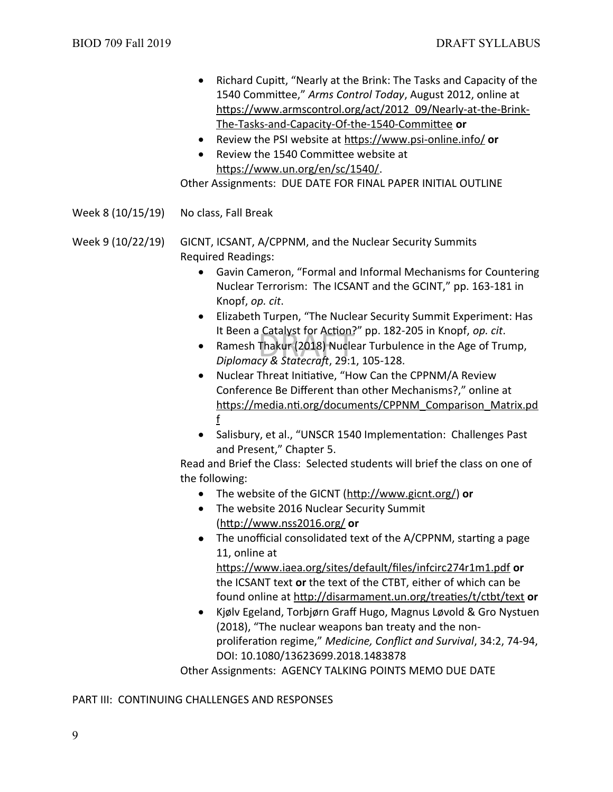- Richard Cupitt, "Nearly at the Brink: The Tasks and Capacity of the 1540 Committee," *Arms Control Today*, August 2012, online at [https://www.armscontrol.org/act/2012\\_09/Nearly-at-the-Brink-](https://www.armscontrol.org/act/2012_09/Nearly-at-the-Brink-The-Tasks-and-Capacity-Of-the-1540-Committee)[The-Tasks-and-Capacity-Of-the-1540-Committee](https://www.armscontrol.org/act/2012_09/Nearly-at-the-Brink-The-Tasks-and-Capacity-Of-the-1540-Committee) **or**
- Review the PSI website at <https://www.psi-online.info/> **or**
- Review the 1540 Committee website at <https://www.un.org/en/sc/1540/>.

Other Assignments: DUE DATE FOR FINAL PAPER INITIAL OUTLINE

Week 8 (10/15/19) No class, Fall Break

Week 9 (10/22/19) GICNT, ICSANT, A/CPPNM, and the Nuclear Security Summits Required Readings:

- Gavin Cameron, "Formal and Informal Mechanisms for Countering Nuclear Terrorism: The ICSANT and the GCINT," pp. 163-181 in Knopf, *op. cit*.
- Elizabeth Turpen, "The Nuclear Security Summit Experiment: Has It Been a Catalyst for Action?" pp. 182-205 in Knopf, *op. cit*.
- : Catalyst for Action<br>Thakur (2018) Nucle<br>cv & *Statecraft.* 29:1 Ramesh Thakur (2018) Nuclear Turbulence in the Age of Trump, *Diplomacy & Statecraft*, 29:1, 105-128.
- Nuclear Threat Initiative, "How Can the CPPNM/A Review Conference Be Different than other Mechanisms?," online at [https://media.nti.org/documents/CPPNM\\_Comparison\\_Matrix.pd](https://media.nti.org/documents/CPPNM_Comparison_Matrix.pdf) [f](https://media.nti.org/documents/CPPNM_Comparison_Matrix.pdf)
- Salisbury, et al., "UNSCR 1540 Implementation: Challenges Past and Present," Chapter 5.

Read and Brief the Class: Selected students will brief the class on one of the following:

- The website of the GICNT [\(http://www.gicnt.org/\)](http://www.gicnt.org/) **or**
- The website 2016 Nuclear Security Summit (<http://www.nss2016.org/> **or**
- The unofficial consolidated text of the A/CPPNM, starting a page 11, online at

<https://www.iaea.org/sites/default/files/infcirc274r1m1.pdf> **or** the ICSANT text **or** the text of the CTBT, either of which can be found online at<http://disarmament.un.org/treaties/t/ctbt/text> **or**

 Kjølv Egeland, Torbjørn Graff Hugo, Magnus Løvold & Gro Nystuen (2018), "The nuclear weapons ban treaty and the nonproliferation regime," *Medicine, Conflict and Survival*, 34:2, 74-94, DOI: 10.1080/13623699.2018.1483878

Other Assignments: AGENCY TALKING POINTS MEMO DUE DATE

PART III: CONTINUING CHALLENGES AND RESPONSES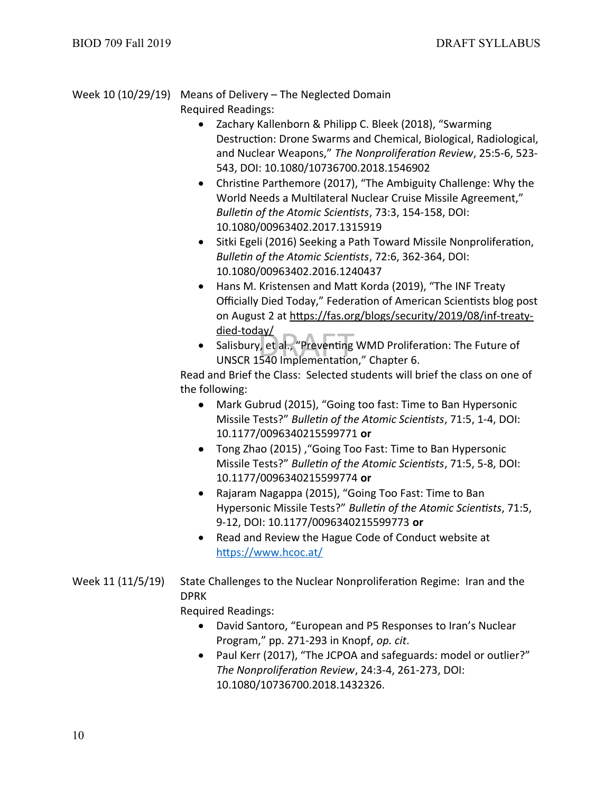Week 10 (10/29/19) Means of Delivery – The Neglected Domain Required Readings:

- Zachary Kallenborn & Philipp C. Bleek (2018), "Swarming Destruction: Drone Swarms and Chemical, Biological, Radiological, and Nuclear Weapons," *The Nonproliferation Review*, 25:5-6, 523- 543, DOI: 10.1080/10736700.2018.1546902
- Christine Parthemore (2017), "The Ambiguity Challenge: Why the World Needs a Multilateral Nuclear Cruise Missile Agreement," *Bulletin of the Atomic Scientists*, 73:3, 154-158, DOI: 10.1080/00963402.2017.1315919
- Sitki Egeli (2016) Seeking a Path Toward Missile Nonproliferation, *Bulletin of the Atomic Scientists*, 72:6, 362-364, DOI: 10.1080/00963402.2016.1240437
- Hans M. Kristensen and Matt Korda (2019), "The INF Treaty Officially Died Today," Federation of American Scientists blog post on August 2 at [https://fas.org/blogs/security/2019/08/inf-treaty](https://fas.org/blogs/security/2019/08/inf-treaty-died-today/)[died-today/](https://fas.org/blogs/security/2019/08/inf-treaty-died-today/)
- <u>ay/</u><br>, et al., "Preventing<br>540 Implementatior • Salisbury, et al., "Preventing WMD Proliferation: The Future of UNSCR 1540 Implementation," Chapter 6.

Read and Brief the Class: Selected students will brief the class on one of the following:

- Mark Gubrud (2015), "Going too fast: Time to Ban Hypersonic Missile Tests?" *Bulletin of the Atomic Scientists*, 71:5, 1-4, DOI: 10.1177/0096340215599771 **or**
- Tong Zhao (2015) ,"Going Too Fast: Time to Ban Hypersonic Missile Tests?" *Bulletin of the Atomic Scientists*, 71:5, 5-8, DOI: 10.1177/0096340215599774 **or**
- Rajaram Nagappa (2015), "Going Too Fast: Time to Ban Hypersonic Missile Tests?" *Bulletin of the Atomic Scientists*, 71:5, 9-12, DOI: 10.1177/0096340215599773 **or**
- Read and Review the Hague Code of Conduct website at <https://www.hcoc.at/>
- Week 11 (11/5/19) State Challenges to the Nuclear Nonproliferation Regime: Iran and the DPRK

Required Readings:

- David Santoro, "European and P5 Responses to Iran's Nuclear Program," pp. 271-293 in Knopf, *op. cit*.
- Paul Kerr (2017), "The JCPOA and safeguards: model or outlier?" *The Nonproliferation Review*, 24:3-4, 261-273, DOI: 10.1080/10736700.2018.1432326.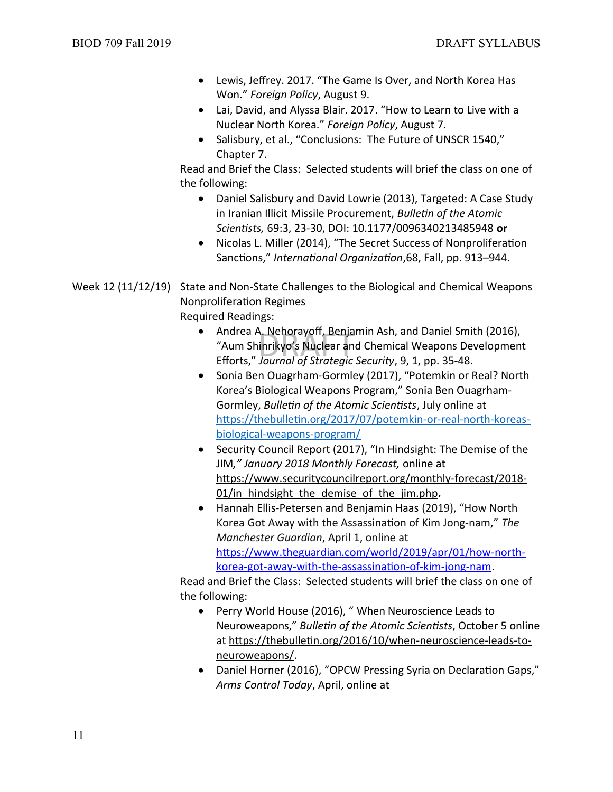- Lewis, Jeffrey. 2017. "The Game Is Over, and North Korea Has Won." *Foreign Policy*, August 9.
- Lai, David, and Alyssa Blair. 2017. "How to Learn to Live with a Nuclear North Korea." *Foreign Policy*, August 7.
- Salisbury, et al., "Conclusions: The Future of UNSCR 1540," Chapter 7.

Read and Brief the Class: Selected students will brief the class on one of the following:

- Daniel Salisbury and David Lowrie (2013), Targeted: A Case Study in Iranian Illicit Missile Procurement, *Bulletin of the Atomic Scientists,* 69:3, 23-30, DOI: 10.1177/0096340213485948 **or**
- Nicolas L. Miller (2014), "The Secret Success of Nonproliferation Sanctions," *International Organization*,68, Fall, pp. 913–944.
- Week 12 (11/12/19) State and Non-State Challenges to the Biological and Chemical Weapons Nonproliferation Regimes Required Readings:
	- \. Nehorayoff, Benja<br>inrikyo's Nuclear an<br>*Journal of Strateaic* • Andrea A. Nehorayoff, Benjamin Ash, and Daniel Smith (2016), "Aum Shinrikyo's Nuclear and Chemical Weapons Development Efforts," *Journal of Strategic Security*, 9, 1, pp. 35-48.
	- Sonia Ben Ouagrham-Gormley (2017), "Potemkin or Real? North Korea's Biological Weapons Program," Sonia Ben Ouagrham-Gormley, *Bulletin of the Atomic Scientists*, July online at [https://thebulletin.org/2017/07/potemkin-or-real-north-koreas](https://thebulletin.org/2017/07/potemkin-or-real-north-koreas-biological-weapons-program/)[biological-weapons-program/](https://thebulletin.org/2017/07/potemkin-or-real-north-koreas-biological-weapons-program/)
	- Security Council Report (2017), "In Hindsight: The Demise of the JIM*," January 2018 Monthly Forecast,* online at [https://www.securitycouncilreport.org/monthly-forecast/2018-](https://www.securitycouncilreport.org/monthly-forecast/2018-01/in_hindsight_the_demise_of_the_jim.php) [01/in\\_hindsight\\_the\\_demise\\_of\\_the\\_jim.php](https://www.securitycouncilreport.org/monthly-forecast/2018-01/in_hindsight_the_demise_of_the_jim.php)*.*
	- Hannah Ellis-Petersen and Benjamin Haas (2019), "How North Korea Got Away with the Assassination of Kim Jong-nam," *The Manchester Guardian*, April 1, online at https://www.theguardian.com/world/2019/apr/01/how-northkorea-got-away-with-the-assassination-of-kim-jong-nam.

Read and Brief the Class: Selected students will brief the class on one of the following:

- Perry World House (2016), " When Neuroscience Leads to Neuroweapons," *Bulletin of the Atomic Scientists*, October 5 online at [https://thebulletin.org/2016/10/when-neuroscience-leads-to](https://thebulletin.org/2016/10/when-neuroscience-leads-to-neuroweapons/)[neuroweapons/.](https://thebulletin.org/2016/10/when-neuroscience-leads-to-neuroweapons/)
- Daniel Horner (2016), "OPCW Pressing Syria on Declaration Gaps," *Arms Control Today*, April, online at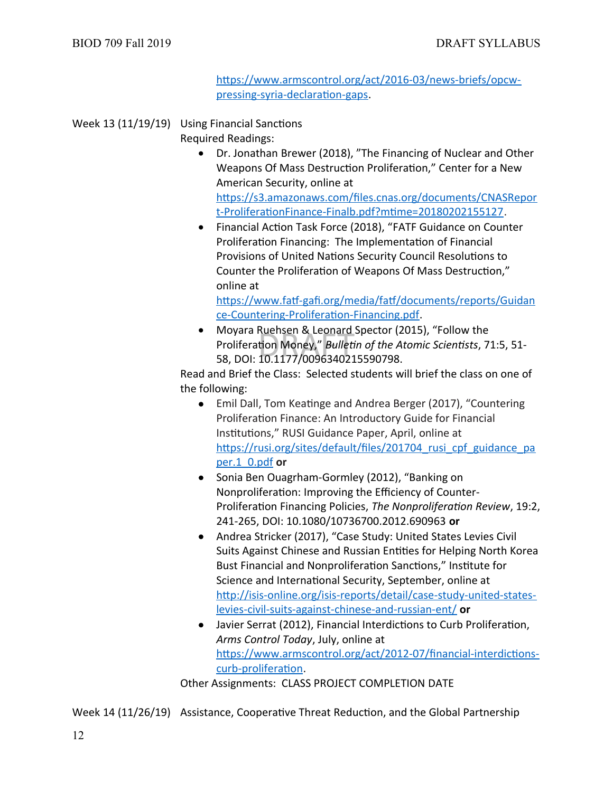[https://www.armscontrol.org/act/2016-03/news-briefs/opcw](https://www.armscontrol.org/act/2016-03/news-briefs/opcw-pressing-syria-declaration-gaps)[pressing-syria-declaration-gaps](https://www.armscontrol.org/act/2016-03/news-briefs/opcw-pressing-syria-declaration-gaps).

Week 13 (11/19/19) Using Financial Sanctions Required Readings:

- Dr. Jonathan Brewer (2018), "The Financing of Nuclear and Other Weapons Of Mass Destruction Proliferation," Center for a New American Security, online at [https://s3.amazonaws.com/files.cnas.org/documents/CNASRepor](https://s3.amazonaws.com/files.cnas.org/documents/CNASReport-ProliferationFinance-Finalb.pdf?mtime=20180202155127) [t-ProliferationFinance-Finalb.pdf?mtime=20180202155127](https://s3.amazonaws.com/files.cnas.org/documents/CNASReport-ProliferationFinance-Finalb.pdf?mtime=20180202155127).
- Financial Action Task Force (2018), "FATF Guidance on Counter Proliferation Financing: The Implementation of Financial Provisions of United Nations Security Council Resolutions to Counter the Proliferation of Weapons Of Mass Destruction," online at

[https://www.fatf-gafi.org/media/fatf/documents/reports/Guidan](https://www.fatf-gafi.org/media/fatf/documents/reports/Guidance-Countering-Proliferation-Financing.pdf) [ce-Countering-Proliferation-Financing.pdf](https://www.fatf-gafi.org/media/fatf/documents/reports/Guidance-Countering-Proliferation-Financing.pdf).

Ruensen & Leonard<br>tion Money," *Bulleti*<br>10.1177/009634021 Moyara Ruehsen & Leonard Spector (2015), "Follow the Proliferation Money," *Bulletin of the Atomic Scientists*, 71:5, 51- 58, DOI: 10.1177/0096340215590798.

Read and Brief the Class: Selected students will brief the class on one of the following:

- Emil Dall, Tom Keatinge and Andrea Berger (2017), "Countering Proliferation Finance: An Introductory Guide for Financial Institutions," RUSI Guidance Paper, April, online at https://rusi.org/sites/default/files/201704 rusi cpf guidance pa [per.1\\_0.pdf](https://rusi.org/sites/default/files/201704_rusi_cpf_guidance_paper.1_0.pdf) **or**
- Sonia Ben Ouagrham-Gormley (2012), "Banking on Nonproliferation: Improving the Efficiency of Counter-Proliferation Financing Policies, *The Nonproliferation Review*, 19:2, 241-265, DOI: 10.1080/10736700.2012.690963 **or**
- Andrea Stricker (2017), "Case Study: United States Levies Civil Suits Against Chinese and Russian Entities for Helping North Korea Bust Financial and Nonproliferation Sanctions," Institute for Science and International Security, September, online at [http://isis-online.org/isis-reports/detail/case-study-united-states](http://isis-online.org/isis-reports/detail/case-study-united-states-levies-civil-suits-against-chinese-and-russian-ent/)[levies-civil-suits-against-chinese-and-russian-ent/](http://isis-online.org/isis-reports/detail/case-study-united-states-levies-civil-suits-against-chinese-and-russian-ent/) **or**
- Javier Serrat (2012), Financial Interdictions to Curb Proliferation, *Arms Control Today*, July, online at [https://www.armscontrol.org/act/2012-07/financial-interdictions](https://www.armscontrol.org/act/2012-07/financial-interdictions-curb-proliferation)[curb-proliferation.](https://www.armscontrol.org/act/2012-07/financial-interdictions-curb-proliferation)

Other Assignments: CLASS PROJECT COMPLETION DATE

Week 14 (11/26/19) Assistance, Cooperative Threat Reduction, and the Global Partnership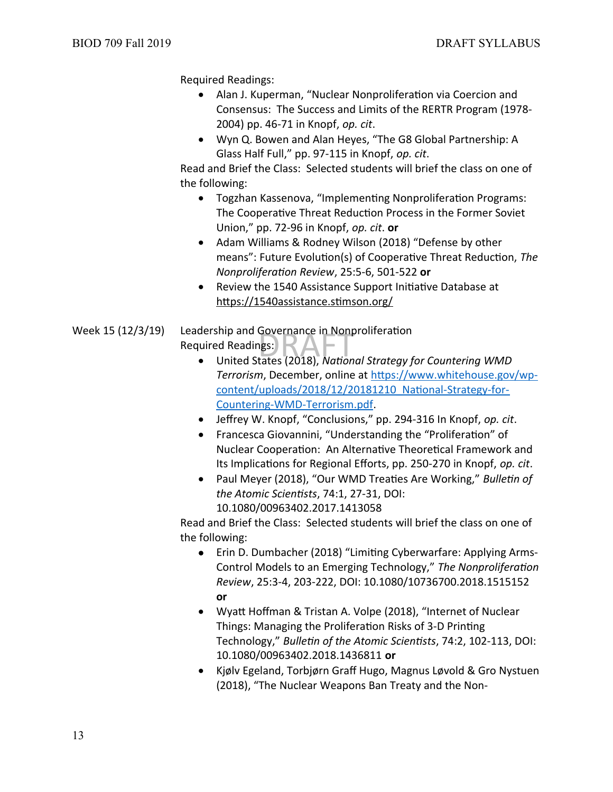Required Readings:

- Alan J. Kuperman, "Nuclear Nonproliferation via Coercion and Consensus: The Success and Limits of the RERTR Program (1978- 2004) pp. 46-71 in Knopf, *op. cit*.
- Wyn Q. Bowen and Alan Heyes, "The G8 Global Partnership: A Glass Half Full," pp. 97-115 in Knopf, *op. cit*.

Read and Brief the Class: Selected students will brief the class on one of the following:

- Togzhan Kassenova, "Implementing Nonproliferation Programs: The Cooperative Threat Reduction Process in the Former Soviet Union," pp. 72-96 in Knopf, *op. cit*. **or**
- Adam Williams & Rodney Wilson (2018) "Defense by other means": Future Evolution(s) of Cooperative Threat Reduction, *The Nonproliferation Review*, 25:5-6, 501-522 **or**
- Review the 1540 Assistance Support Initiative Database at https://1540assistance.stimson.org/
- dership and Governance in Nonproliferation<br>uired Readings:<br>• United States (2018), *National Strategy for Countering WMD* Week 15 (12/3/19) Leadership and Governance in Nonproliferation Required Readings:
	- *Terrorism*, December, online at [https://www.whitehouse.gov/wp](https://www.whitehouse.gov/wp-content/uploads/2018/12/20181210_National-Strategy-for-Countering-WMD-Terrorism.pdf)[content/uploads/2018/12/20181210\\_National-Strategy-for-](https://www.whitehouse.gov/wp-content/uploads/2018/12/20181210_National-Strategy-for-Countering-WMD-Terrorism.pdf)[Countering-WMD-Terrorism.pdf](https://www.whitehouse.gov/wp-content/uploads/2018/12/20181210_National-Strategy-for-Countering-WMD-Terrorism.pdf).
	- Jeffrey W. Knopf, "Conclusions," pp. 294-316 In Knopf, *op. cit*.
	- Francesca Giovannini, "Understanding the "Proliferation" of Nuclear Cooperation: An Alternative Theoretical Framework and Its Implications for Regional Efforts, pp. 250-270 in Knopf, *op. cit*.
	- Paul Meyer (2018), "Our WMD Treaties Are Working," *Bulletin of the Atomic Scientists*, 74:1, 27-31, DOI: 10.1080/00963402.2017.1413058

Read and Brief the Class: Selected students will brief the class on one of the following:

- Erin D. Dumbacher (2018) "Limiting Cyberwarfare: Applying Arms-Control Models to an Emerging Technology," *The Nonproliferation Review*, 25:3-4, 203-222, DOI: 10.1080/10736700.2018.1515152 **or**
- Wyatt Hoffman & Tristan A. Volpe (2018), "Internet of Nuclear Things: Managing the Proliferation Risks of 3-D Printing Technology," *Bulletin of the Atomic Scientists*, 74:2, 102-113, DOI: 10.1080/00963402.2018.1436811 **or**
- Kjølv Egeland, Torbjørn Graff Hugo, Magnus Løvold & Gro Nystuen (2018), "The Nuclear Weapons Ban Treaty and the Non-